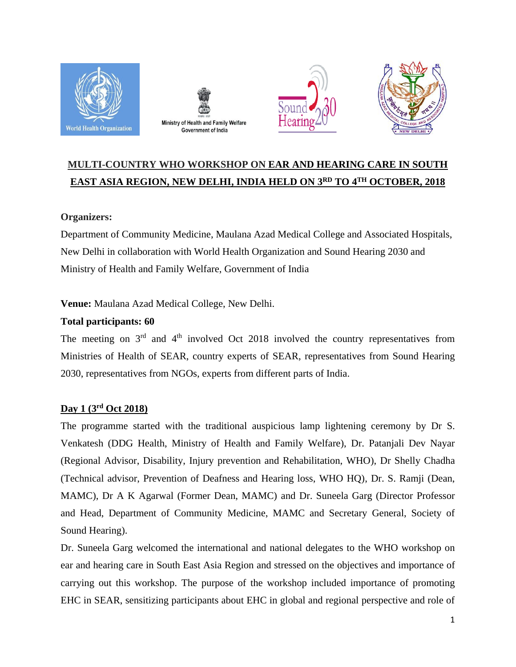







# **MULTI-COUNTRY WHO WORKSHOP ON EAR AND HEARING CARE IN SOUTH EAST ASIA REGION, NEW DELHI, INDIA HELD ON 3RD TO 4 TH OCTOBER, 2018**

# **Organizers:**

Department of Community Medicine, Maulana Azad Medical College and Associated Hospitals, New Delhi in collaboration with World Health Organization and Sound Hearing 2030 and Ministry of Health and Family Welfare, Government of India

**Venue:** Maulana Azad Medical College, New Delhi.

# **Total participants: 60**

The meeting on  $3<sup>rd</sup>$  and  $4<sup>th</sup>$  involved Oct 2018 involved the country representatives from Ministries of Health of SEAR, country experts of SEAR, representatives from Sound Hearing 2030, representatives from NGOs, experts from different parts of India.

# **Day 1 (3rd Oct 2018)**

The programme started with the traditional auspicious lamp lightening ceremony by Dr S. Venkatesh (DDG Health, Ministry of Health and Family Welfare), Dr. Patanjali Dev Nayar (Regional Advisor, Disability, Injury prevention and Rehabilitation, WHO), Dr Shelly Chadha (Technical advisor, Prevention of Deafness and Hearing loss, WHO HQ), Dr. S. Ramji (Dean, MAMC), Dr A K Agarwal (Former Dean, MAMC) and Dr. Suneela Garg (Director Professor and Head, Department of Community Medicine, MAMC and Secretary General, Society of Sound Hearing).

Dr. Suneela Garg welcomed the international and national delegates to the WHO workshop on ear and hearing care in South East Asia Region and stressed on the objectives and importance of carrying out this workshop. The purpose of the workshop included importance of promoting EHC in SEAR, sensitizing participants about EHC in global and regional perspective and role of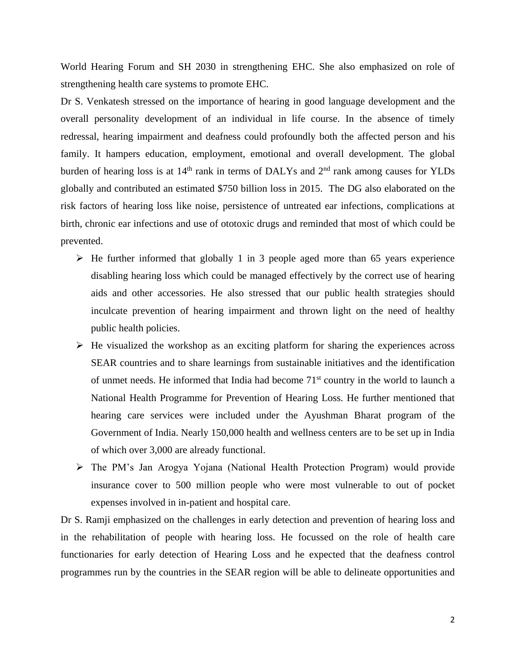World Hearing Forum and SH 2030 in strengthening EHC. She also emphasized on role of strengthening health care systems to promote EHC.

Dr S. Venkatesh stressed on the importance of hearing in good language development and the overall personality development of an individual in life course. In the absence of timely redressal, hearing impairment and deafness could profoundly both the affected person and his family. It hampers education, employment, emotional and overall development. The global burden of hearing loss is at  $14<sup>th</sup>$  rank in terms of DALYs and  $2<sup>nd</sup>$  rank among causes for YLDs globally and contributed an estimated \$750 billion loss in 2015. The DG also elaborated on the risk factors of hearing loss like noise, persistence of untreated ear infections, complications at birth, chronic ear infections and use of ototoxic drugs and reminded that most of which could be prevented.

- $\triangleright$  He further informed that globally 1 in 3 people aged more than 65 years experience disabling hearing loss which could be managed effectively by the correct use of hearing aids and other accessories. He also stressed that our public health strategies should inculcate prevention of hearing impairment and thrown light on the need of healthy public health policies.
- $\triangleright$  He visualized the workshop as an exciting platform for sharing the experiences across SEAR countries and to share learnings from sustainable initiatives and the identification of unmet needs. He informed that India had become  $71<sup>st</sup>$  country in the world to launch a National Health Programme for Prevention of Hearing Loss. He further mentioned that hearing care services were included under the Ayushman Bharat program of the Government of India. Nearly 150,000 health and wellness centers are to be set up in India of which over 3,000 are already functional.
- The PM's Jan Arogya Yojana (National Health Protection Program) would provide insurance cover to 500 million people who were most vulnerable to out of pocket expenses involved in in-patient and hospital care.

Dr S. Ramji emphasized on the challenges in early detection and prevention of hearing loss and in the rehabilitation of people with hearing loss. He focussed on the role of health care functionaries for early detection of Hearing Loss and he expected that the deafness control programmes run by the countries in the SEAR region will be able to delineate opportunities and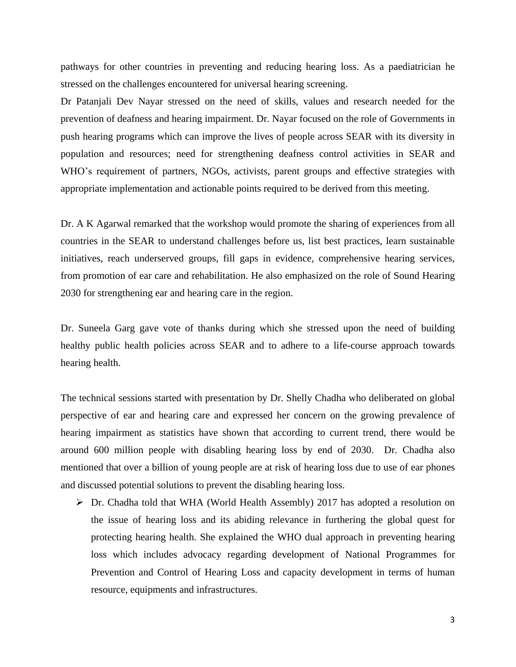pathways for other countries in preventing and reducing hearing loss. As a paediatrician he stressed on the challenges encountered for universal hearing screening.

Dr Patanjali Dev Nayar stressed on the need of skills, values and research needed for the prevention of deafness and hearing impairment. Dr. Nayar focused on the role of Governments in push hearing programs which can improve the lives of people across SEAR with its diversity in population and resources; need for strengthening deafness control activities in SEAR and WHO's requirement of partners, NGOs, activists, parent groups and effective strategies with appropriate implementation and actionable points required to be derived from this meeting.

Dr. A K Agarwal remarked that the workshop would promote the sharing of experiences from all countries in the SEAR to understand challenges before us, list best practices, learn sustainable initiatives, reach underserved groups, fill gaps in evidence, comprehensive hearing services, from promotion of ear care and rehabilitation. He also emphasized on the role of Sound Hearing 2030 for strengthening ear and hearing care in the region.

Dr. Suneela Garg gave vote of thanks during which she stressed upon the need of building healthy public health policies across SEAR and to adhere to a life-course approach towards hearing health.

The technical sessions started with presentation by Dr. Shelly Chadha who deliberated on global perspective of ear and hearing care and expressed her concern on the growing prevalence of hearing impairment as statistics have shown that according to current trend, there would be around 600 million people with disabling hearing loss by end of 2030. Dr. Chadha also mentioned that over a billion of young people are at risk of hearing loss due to use of ear phones and discussed potential solutions to prevent the disabling hearing loss.

 $\triangleright$  Dr. Chadha told that WHA (World Health Assembly) 2017 has adopted a resolution on the issue of hearing loss and its abiding relevance in furthering the global quest for protecting hearing health. She explained the WHO dual approach in preventing hearing loss which includes advocacy regarding development of National Programmes for Prevention and Control of Hearing Loss and capacity development in terms of human resource, equipments and infrastructures.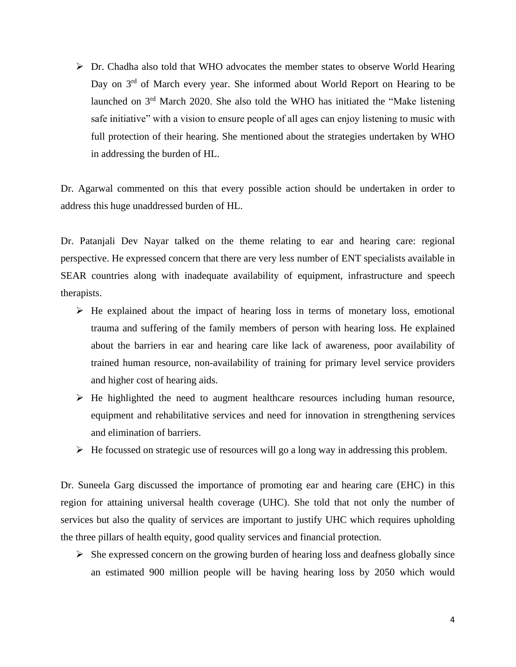$\triangleright$  Dr. Chadha also told that WHO advocates the member states to observe World Hearing Day on 3<sup>rd</sup> of March every year. She informed about World Report on Hearing to be launched on 3rd March 2020. She also told the WHO has initiated the "Make listening safe initiative" with a vision to ensure people of all ages can enjoy listening to music with full protection of their hearing. She mentioned about the strategies undertaken by WHO in addressing the burden of HL.

Dr. Agarwal commented on this that every possible action should be undertaken in order to address this huge unaddressed burden of HL.

Dr. Patanjali Dev Nayar talked on the theme relating to ear and hearing care: regional perspective. He expressed concern that there are very less number of ENT specialists available in SEAR countries along with inadequate availability of equipment, infrastructure and speech therapists.

- $\triangleright$  He explained about the impact of hearing loss in terms of monetary loss, emotional trauma and suffering of the family members of person with hearing loss. He explained about the barriers in ear and hearing care like lack of awareness, poor availability of trained human resource, non-availability of training for primary level service providers and higher cost of hearing aids.
- $\triangleright$  He highlighted the need to augment healthcare resources including human resource, equipment and rehabilitative services and need for innovation in strengthening services and elimination of barriers.
- $\triangleright$  He focussed on strategic use of resources will go a long way in addressing this problem.

Dr. Suneela Garg discussed the importance of promoting ear and hearing care (EHC) in this region for attaining universal health coverage (UHC). She told that not only the number of services but also the quality of services are important to justify UHC which requires upholding the three pillars of health equity, good quality services and financial protection.

 $\triangleright$  She expressed concern on the growing burden of hearing loss and deafness globally since an estimated 900 million people will be having hearing loss by 2050 which would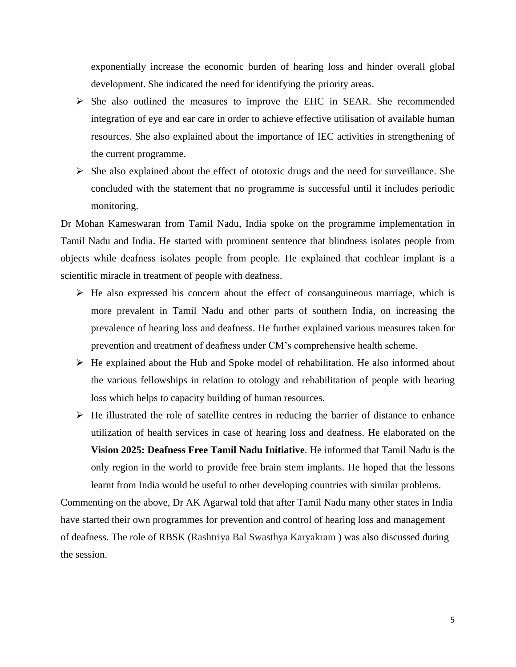exponentially increase the economic burden of hearing loss and hinder overall global development. She indicated the need for identifying the priority areas.

- $\triangleright$  She also outlined the measures to improve the EHC in SEAR. She recommended integration of eye and ear care in order to achieve effective utilisation of available human resources. She also explained about the importance of IEC activities in strengthening of the current programme.
- $\triangleright$  She also explained about the effect of ototoxic drugs and the need for surveillance. She concluded with the statement that no programme is successful until it includes periodic monitoring.

Dr Mohan Kameswaran from Tamil Nadu, India spoke on the programme implementation in Tamil Nadu and India. He started with prominent sentence that blindness isolates people from objects while deafness isolates people from people. He explained that cochlear implant is a scientific miracle in treatment of people with deafness.

- $\triangleright$  He also expressed his concern about the effect of consanguineous marriage, which is more prevalent in Tamil Nadu and other parts of southern India, on increasing the prevalence of hearing loss and deafness. He further explained various measures taken for prevention and treatment of deafness under CM's comprehensive health scheme.
- $\triangleright$  He explained about the Hub and Spoke model of rehabilitation. He also informed about the various fellowships in relation to otology and rehabilitation of people with hearing loss which helps to capacity building of human resources.
- $\triangleright$  He illustrated the role of satellite centres in reducing the barrier of distance to enhance utilization of health services in case of hearing loss and deafness. He elaborated on the **Vision 2025: Deafness Free Tamil Nadu Initiative**. He informed that Tamil Nadu is the only region in the world to provide free brain stem implants. He hoped that the lessons learnt from India would be useful to other developing countries with similar problems.

Commenting on the above, Dr AK Agarwal told that after Tamil Nadu many other states in India have started their own programmes for prevention and control of hearing loss and management of deafness. The role of RBSK (Rashtriya Bal Swasthya Karyakram ) was also discussed during the session.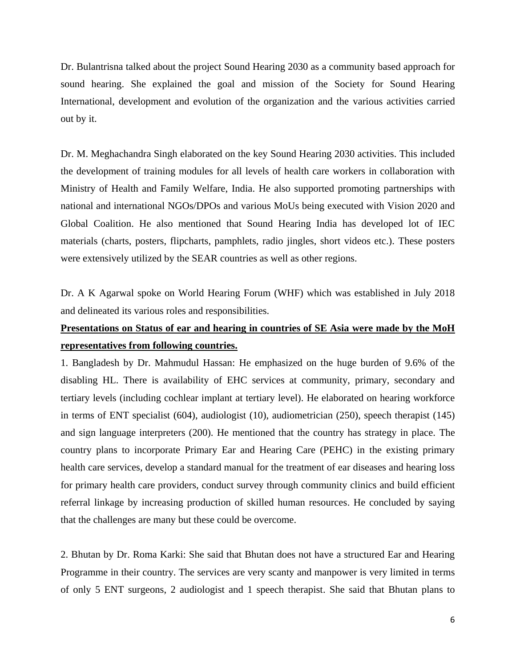Dr. Bulantrisna talked about the project Sound Hearing 2030 as a community based approach for sound hearing. She explained the goal and mission of the Society for Sound Hearing International, development and evolution of the organization and the various activities carried out by it.

Dr. M. Meghachandra Singh elaborated on the key Sound Hearing 2030 activities. This included the development of training modules for all levels of health care workers in collaboration with Ministry of Health and Family Welfare, India. He also supported promoting partnerships with national and international NGOs/DPOs and various MoUs being executed with Vision 2020 and Global Coalition. He also mentioned that Sound Hearing India has developed lot of IEC materials (charts, posters, flipcharts, pamphlets, radio jingles, short videos etc.). These posters were extensively utilized by the SEAR countries as well as other regions.

Dr. A K Agarwal spoke on World Hearing Forum (WHF) which was established in July 2018 and delineated its various roles and responsibilities.

# **Presentations on Status of ear and hearing in countries of SE Asia were made by the MoH representatives from following countries.**

1. Bangladesh by Dr. Mahmudul Hassan: He emphasized on the huge burden of 9.6% of the disabling HL. There is availability of EHC services at community, primary, secondary and tertiary levels (including cochlear implant at tertiary level). He elaborated on hearing workforce in terms of ENT specialist (604), audiologist (10), audiometrician (250), speech therapist (145) and sign language interpreters (200). He mentioned that the country has strategy in place. The country plans to incorporate Primary Ear and Hearing Care (PEHC) in the existing primary health care services, develop a standard manual for the treatment of ear diseases and hearing loss for primary health care providers, conduct survey through community clinics and build efficient referral linkage by increasing production of skilled human resources. He concluded by saying that the challenges are many but these could be overcome.

2. Bhutan by Dr. Roma Karki: She said that Bhutan does not have a structured Ear and Hearing Programme in their country. The services are very scanty and manpower is very limited in terms of only 5 ENT surgeons, 2 audiologist and 1 speech therapist. She said that Bhutan plans to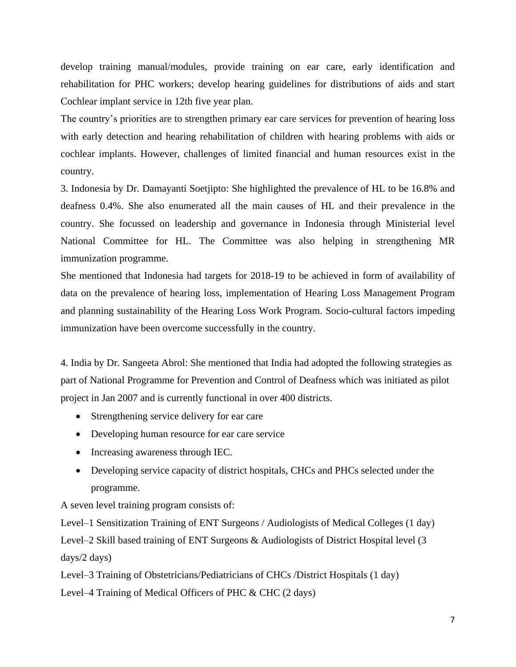develop training manual/modules, provide training on ear care, early identification and rehabilitation for PHC workers; develop hearing guidelines for distributions of aids and start Cochlear implant service in 12th five year plan.

The country's priorities are to strengthen primary ear care services for prevention of hearing loss with early detection and hearing rehabilitation of children with hearing problems with aids or cochlear implants. However, challenges of limited financial and human resources exist in the country.

3. Indonesia by Dr. Damayanti Soetjipto: She highlighted the prevalence of HL to be 16.8% and deafness 0.4%. She also enumerated all the main causes of HL and their prevalence in the country. She focussed on leadership and governance in Indonesia through Ministerial level National Committee for HL. The Committee was also helping in strengthening MR immunization programme.

She mentioned that Indonesia had targets for 2018-19 to be achieved in form of availability of data on the prevalence of hearing loss, implementation of Hearing Loss Management Program and planning sustainability of the Hearing Loss Work Program. Socio-cultural factors impeding immunization have been overcome successfully in the country.

4. India by Dr. Sangeeta Abrol: She mentioned that India had adopted the following strategies as part of National Programme for Prevention and Control of Deafness which was initiated as pilot project in Jan 2007 and is currently functional in over 400 districts.

- Strengthening service delivery for ear care
- Developing human resource for ear care service
- Increasing awareness through IEC.
- Developing service capacity of district hospitals, CHCs and PHCs selected under the programme.

A seven level training program consists of:

Level–1 Sensitization Training of ENT Surgeons / Audiologists of Medical Colleges (1 day) Level–2 Skill based training of ENT Surgeons & Audiologists of District Hospital level (3 days/2 days)

Level–3 Training of Obstetricians/Pediatricians of CHCs /District Hospitals (1 day)

Level–4 Training of Medical Officers of PHC & CHC (2 days)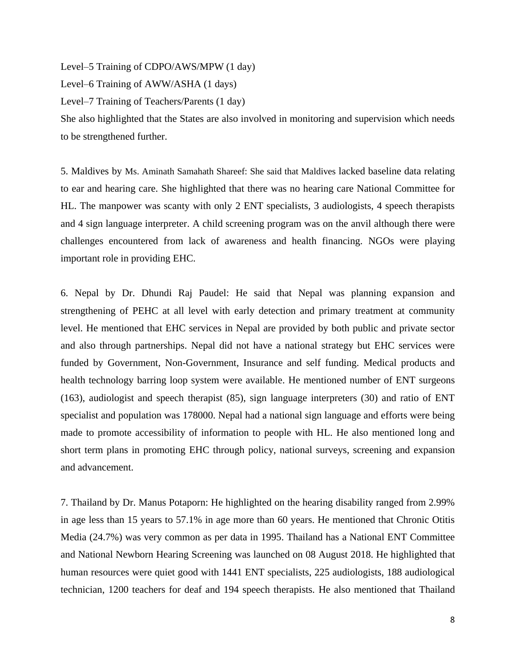Level–5 Training of CDPO/AWS/MPW (1 day)

Level–6 Training of AWW/ASHA (1 days)

Level–7 Training of Teachers/Parents (1 day)

She also highlighted that the States are also involved in monitoring and supervision which needs to be strengthened further.

5. Maldives by Ms. Aminath Samahath Shareef: She said that Maldives lacked baseline data relating to ear and hearing care. She highlighted that there was no hearing care National Committee for HL. The manpower was scanty with only 2 ENT specialists, 3 audiologists, 4 speech therapists and 4 sign language interpreter. A child screening program was on the anvil although there were challenges encountered from lack of awareness and health financing. NGOs were playing important role in providing EHC.

6. Nepal by Dr. Dhundi Raj Paudel: He said that Nepal was planning expansion and strengthening of PEHC at all level with early detection and primary treatment at community level. He mentioned that EHC services in Nepal are provided by both public and private sector and also through partnerships. Nepal did not have a national strategy but EHC services were funded by Government, Non-Government, Insurance and self funding. Medical products and health technology barring loop system were available. He mentioned number of ENT surgeons (163), audiologist and speech therapist (85), sign language interpreters (30) and ratio of ENT specialist and population was 178000. Nepal had a national sign language and efforts were being made to promote accessibility of information to people with HL. He also mentioned long and short term plans in promoting EHC through policy, national surveys, screening and expansion and advancement.

7. Thailand by Dr. Manus Potaporn: He highlighted on the hearing disability ranged from 2.99% in age less than 15 years to 57.1% in age more than 60 years. He mentioned that Chronic Otitis Media (24.7%) was very common as per data in 1995. Thailand has a National ENT Committee and National Newborn Hearing Screening was launched on 08 August 2018. He highlighted that human resources were quiet good with 1441 ENT specialists, 225 audiologists, 188 audiological technician, 1200 teachers for deaf and 194 speech therapists. He also mentioned that Thailand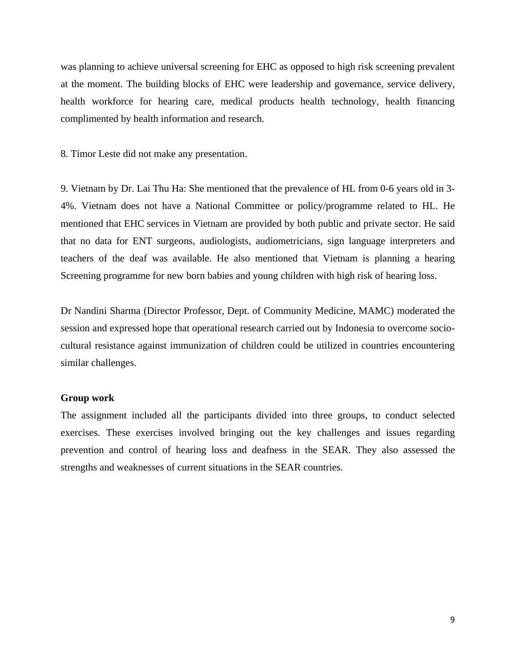was planning to achieve universal screening for EHC as opposed to high risk screening prevalent at the moment. The building blocks of EHC were leadership and governance, service delivery, health workforce for hearing care, medical products health technology, health financing complimented by health information and research.

8. Timor Leste did not make any presentation.

9. Vietnam by Dr. Lai Thu Ha: She mentioned that the prevalence of HL from 0-6 years old in 3- 4%. Vietnam does not have a National Committee or policy/programme related to HL. He mentioned that EHC services in Vietnam are provided by both public and private sector. He said that no data for ENT surgeons, audiologists, audiometricians, sign language interpreters and teachers of the deaf was available. He also mentioned that Vietnam is planning a hearing Screening programme for new born babies and young children with high risk of hearing loss.

Dr Nandini Sharma (Director Professor, Dept. of Community Medicine, MAMC) moderated the session and expressed hope that operational research carried out by Indonesia to overcome sociocultural resistance against immunization of children could be utilized in countries encountering similar challenges.

## **Group work**

The assignment included all the participants divided into three groups, to conduct selected exercises. These exercises involved bringing out the key challenges and issues regarding prevention and control of hearing loss and deafness in the SEAR. They also assessed the strengths and weaknesses of current situations in the SEAR countries.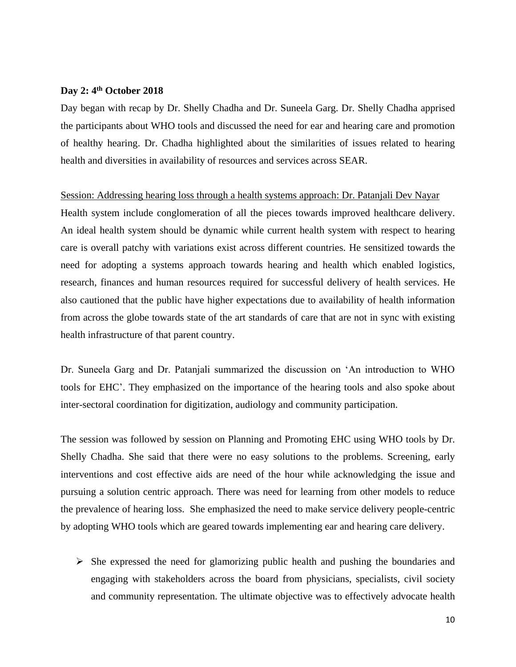## **Day 2: 4th October 2018**

Day began with recap by Dr. Shelly Chadha and Dr. Suneela Garg. Dr. Shelly Chadha apprised the participants about WHO tools and discussed the need for ear and hearing care and promotion of healthy hearing. Dr. Chadha highlighted about the similarities of issues related to hearing health and diversities in availability of resources and services across SEAR.

#### Session: Addressing hearing loss through a health systems approach: Dr. Patanjali Dev Nayar

Health system include conglomeration of all the pieces towards improved healthcare delivery. An ideal health system should be dynamic while current health system with respect to hearing care is overall patchy with variations exist across different countries. He sensitized towards the need for adopting a systems approach towards hearing and health which enabled logistics, research, finances and human resources required for successful delivery of health services. He also cautioned that the public have higher expectations due to availability of health information from across the globe towards state of the art standards of care that are not in sync with existing health infrastructure of that parent country.

Dr. Suneela Garg and Dr. Patanjali summarized the discussion on 'An introduction to WHO tools for EHC'. They emphasized on the importance of the hearing tools and also spoke about inter-sectoral coordination for digitization, audiology and community participation.

The session was followed by session on Planning and Promoting EHC using WHO tools by Dr. Shelly Chadha. She said that there were no easy solutions to the problems. Screening, early interventions and cost effective aids are need of the hour while acknowledging the issue and pursuing a solution centric approach. There was need for learning from other models to reduce the prevalence of hearing loss. She emphasized the need to make service delivery people-centric by adopting WHO tools which are geared towards implementing ear and hearing care delivery.

 $\triangleright$  She expressed the need for glamorizing public health and pushing the boundaries and engaging with stakeholders across the board from physicians, specialists, civil society and community representation. The ultimate objective was to effectively advocate health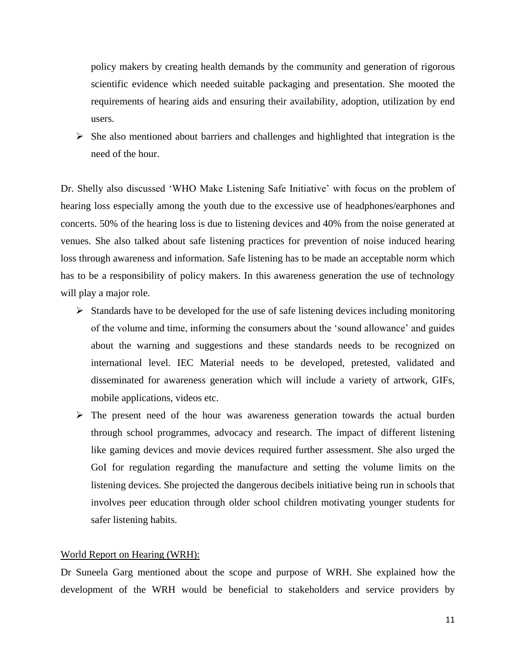policy makers by creating health demands by the community and generation of rigorous scientific evidence which needed suitable packaging and presentation. She mooted the requirements of hearing aids and ensuring their availability, adoption, utilization by end users.

 $\triangleright$  She also mentioned about barriers and challenges and highlighted that integration is the need of the hour.

Dr. Shelly also discussed 'WHO Make Listening Safe Initiative' with focus on the problem of hearing loss especially among the youth due to the excessive use of headphones/earphones and concerts. 50% of the hearing loss is due to listening devices and 40% from the noise generated at venues. She also talked about safe listening practices for prevention of noise induced hearing loss through awareness and information. Safe listening has to be made an acceptable norm which has to be a responsibility of policy makers. In this awareness generation the use of technology will play a major role.

- $\triangleright$  Standards have to be developed for the use of safe listening devices including monitoring of the volume and time, informing the consumers about the 'sound allowance' and guides about the warning and suggestions and these standards needs to be recognized on international level. IEC Material needs to be developed, pretested, validated and disseminated for awareness generation which will include a variety of artwork, GIFs, mobile applications, videos etc.
- $\triangleright$  The present need of the hour was awareness generation towards the actual burden through school programmes, advocacy and research. The impact of different listening like gaming devices and movie devices required further assessment. She also urged the GoI for regulation regarding the manufacture and setting the volume limits on the listening devices. She projected the dangerous decibels initiative being run in schools that involves peer education through older school children motivating younger students for safer listening habits.

#### World Report on Hearing (WRH):

Dr Suneela Garg mentioned about the scope and purpose of WRH. She explained how the development of the WRH would be beneficial to stakeholders and service providers by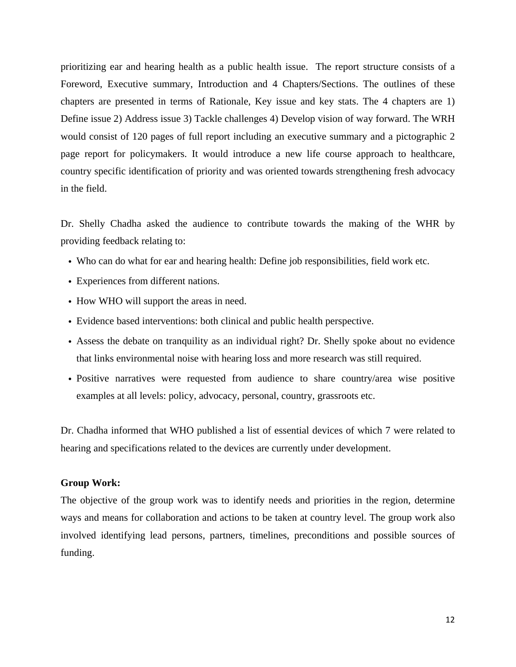prioritizing ear and hearing health as a public health issue. The report structure consists of a Foreword, Executive summary, Introduction and 4 Chapters/Sections. The outlines of these chapters are presented in terms of Rationale, Key issue and key stats. The 4 chapters are 1) Define issue 2) Address issue 3) Tackle challenges 4) Develop vision of way forward. The WRH would consist of 120 pages of full report including an executive summary and a pictographic 2 page report for policymakers. It would introduce a new life course approach to healthcare, country specific identification of priority and was oriented towards strengthening fresh advocacy in the field.

Dr. Shelly Chadha asked the audience to contribute towards the making of the WHR by providing feedback relating to:

- Who can do what for ear and hearing health: Define job responsibilities, field work etc.
- Experiences from different nations.
- How WHO will support the areas in need.
- Evidence based interventions: both clinical and public health perspective.
- Assess the debate on tranquility as an individual right? Dr. Shelly spoke about no evidence that links environmental noise with hearing loss and more research was still required.
- Positive narratives were requested from audience to share country/area wise positive examples at all levels: policy, advocacy, personal, country, grassroots etc.

Dr. Chadha informed that WHO published a list of essential devices of which 7 were related to hearing and specifications related to the devices are currently under development.

## **Group Work:**

The objective of the group work was to identify needs and priorities in the region, determine ways and means for collaboration and actions to be taken at country level. The group work also involved identifying lead persons, partners, timelines, preconditions and possible sources of funding.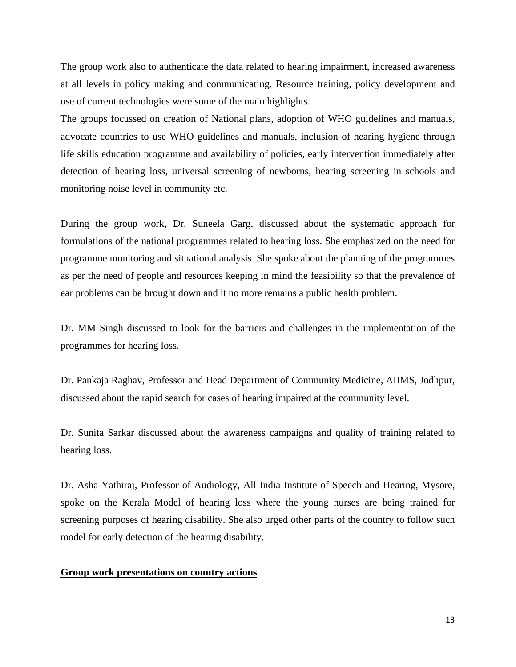The group work also to authenticate the data related to hearing impairment, increased awareness at all levels in policy making and communicating. Resource training, policy development and use of current technologies were some of the main highlights.

The groups focussed on creation of National plans, adoption of WHO guidelines and manuals, advocate countries to use WHO guidelines and manuals, inclusion of hearing hygiene through life skills education programme and availability of policies, early intervention immediately after detection of hearing loss, universal screening of newborns, hearing screening in schools and monitoring noise level in community etc.

During the group work, Dr. Suneela Garg, discussed about the systematic approach for formulations of the national programmes related to hearing loss. She emphasized on the need for programme monitoring and situational analysis. She spoke about the planning of the programmes as per the need of people and resources keeping in mind the feasibility so that the prevalence of ear problems can be brought down and it no more remains a public health problem.

Dr. MM Singh discussed to look for the barriers and challenges in the implementation of the programmes for hearing loss.

Dr. Pankaja Raghav, Professor and Head Department of Community Medicine, AIIMS, Jodhpur, discussed about the rapid search for cases of hearing impaired at the community level.

Dr. Sunita Sarkar discussed about the awareness campaigns and quality of training related to hearing loss.

Dr. Asha Yathiraj, Professor of Audiology, All India Institute of Speech and Hearing, Mysore, spoke on the Kerala Model of hearing loss where the young nurses are being trained for screening purposes of hearing disability. She also urged other parts of the country to follow such model for early detection of the hearing disability.

## **Group work presentations on country actions**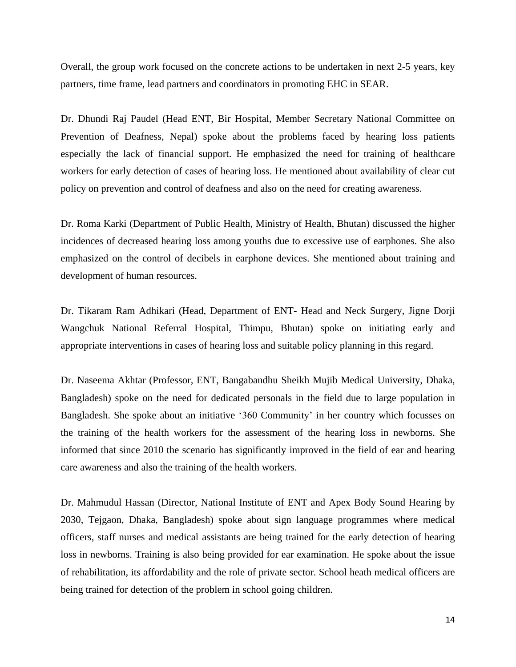Overall, the group work focused on the concrete actions to be undertaken in next 2-5 years, key partners, time frame, lead partners and coordinators in promoting EHC in SEAR.

Dr. Dhundi Raj Paudel (Head ENT, Bir Hospital, Member Secretary National Committee on Prevention of Deafness, Nepal) spoke about the problems faced by hearing loss patients especially the lack of financial support. He emphasized the need for training of healthcare workers for early detection of cases of hearing loss. He mentioned about availability of clear cut policy on prevention and control of deafness and also on the need for creating awareness.

Dr. Roma Karki (Department of Public Health, Ministry of Health, Bhutan) discussed the higher incidences of decreased hearing loss among youths due to excessive use of earphones. She also emphasized on the control of decibels in earphone devices. She mentioned about training and development of human resources.

Dr. Tikaram Ram Adhikari (Head, Department of ENT- Head and Neck Surgery, Jigne Dorji Wangchuk National Referral Hospital, Thimpu, Bhutan) spoke on initiating early and appropriate interventions in cases of hearing loss and suitable policy planning in this regard.

Dr. Naseema Akhtar (Professor, ENT, Bangabandhu Sheikh Mujib Medical University, Dhaka, Bangladesh) spoke on the need for dedicated personals in the field due to large population in Bangladesh. She spoke about an initiative '360 Community' in her country which focusses on the training of the health workers for the assessment of the hearing loss in newborns. She informed that since 2010 the scenario has significantly improved in the field of ear and hearing care awareness and also the training of the health workers.

Dr. Mahmudul Hassan (Director, National Institute of ENT and Apex Body Sound Hearing by 2030, Tejgaon, Dhaka, Bangladesh) spoke about sign language programmes where medical officers, staff nurses and medical assistants are being trained for the early detection of hearing loss in newborns. Training is also being provided for ear examination. He spoke about the issue of rehabilitation, its affordability and the role of private sector. School heath medical officers are being trained for detection of the problem in school going children.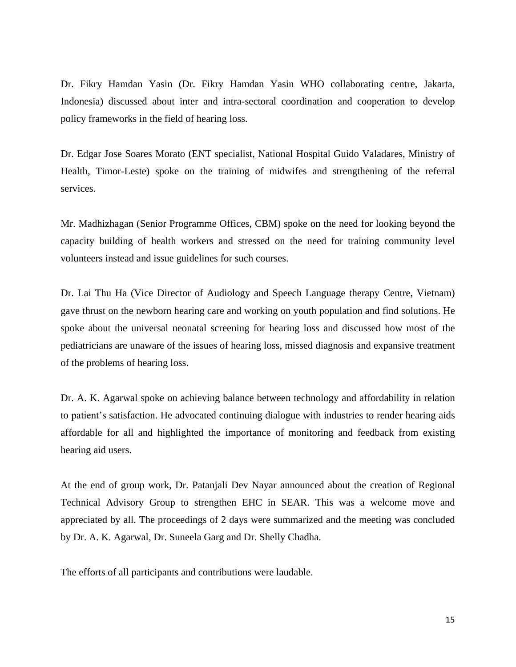Dr. Fikry Hamdan Yasin (Dr. Fikry Hamdan Yasin WHO collaborating centre, Jakarta, Indonesia) discussed about inter and intra-sectoral coordination and cooperation to develop policy frameworks in the field of hearing loss.

Dr. Edgar Jose Soares Morato (ENT specialist, National Hospital Guido Valadares, Ministry of Health, Timor-Leste) spoke on the training of midwifes and strengthening of the referral services.

Mr. Madhizhagan (Senior Programme Offices, CBM) spoke on the need for looking beyond the capacity building of health workers and stressed on the need for training community level volunteers instead and issue guidelines for such courses.

Dr. Lai Thu Ha (Vice Director of Audiology and Speech Language therapy Centre, Vietnam) gave thrust on the newborn hearing care and working on youth population and find solutions. He spoke about the universal neonatal screening for hearing loss and discussed how most of the pediatricians are unaware of the issues of hearing loss, missed diagnosis and expansive treatment of the problems of hearing loss.

Dr. A. K. Agarwal spoke on achieving balance between technology and affordability in relation to patient's satisfaction. He advocated continuing dialogue with industries to render hearing aids affordable for all and highlighted the importance of monitoring and feedback from existing hearing aid users.

At the end of group work, Dr. Patanjali Dev Nayar announced about the creation of Regional Technical Advisory Group to strengthen EHC in SEAR. This was a welcome move and appreciated by all. The proceedings of 2 days were summarized and the meeting was concluded by Dr. A. K. Agarwal, Dr. Suneela Garg and Dr. Shelly Chadha.

The efforts of all participants and contributions were laudable.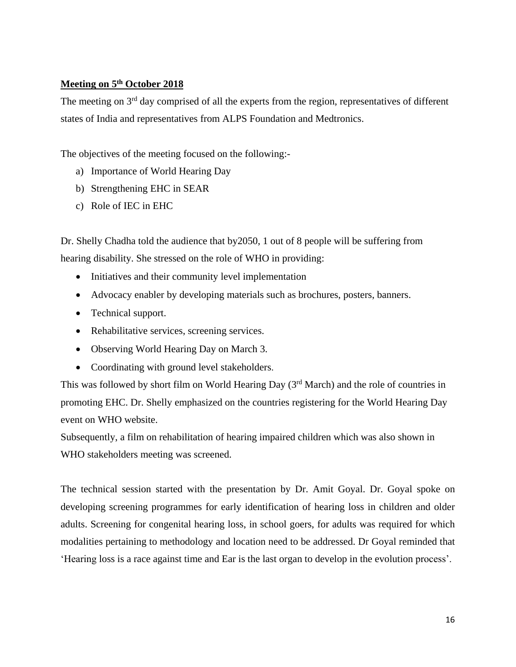## **Meeting on 5 th October 2018**

The meeting on 3<sup>rd</sup> day comprised of all the experts from the region, representatives of different states of India and representatives from ALPS Foundation and Medtronics.

The objectives of the meeting focused on the following:-

- a) Importance of World Hearing Day
- b) Strengthening EHC in SEAR
- c) Role of IEC in EHC

Dr. Shelly Chadha told the audience that by2050, 1 out of 8 people will be suffering from hearing disability. She stressed on the role of WHO in providing:

- Initiatives and their community level implementation
- Advocacy enabler by developing materials such as brochures, posters, banners.
- Technical support.
- Rehabilitative services, screening services.
- Observing World Hearing Day on March 3.
- Coordinating with ground level stakeholders.

This was followed by short film on World Hearing Day (3<sup>rd</sup> March) and the role of countries in promoting EHC. Dr. Shelly emphasized on the countries registering for the World Hearing Day event on WHO website.

Subsequently, a film on rehabilitation of hearing impaired children which was also shown in WHO stakeholders meeting was screened.

The technical session started with the presentation by Dr. Amit Goyal. Dr. Goyal spoke on developing screening programmes for early identification of hearing loss in children and older adults. Screening for congenital hearing loss, in school goers, for adults was required for which modalities pertaining to methodology and location need to be addressed. Dr Goyal reminded that 'Hearing loss is a race against time and Ear is the last organ to develop in the evolution process'.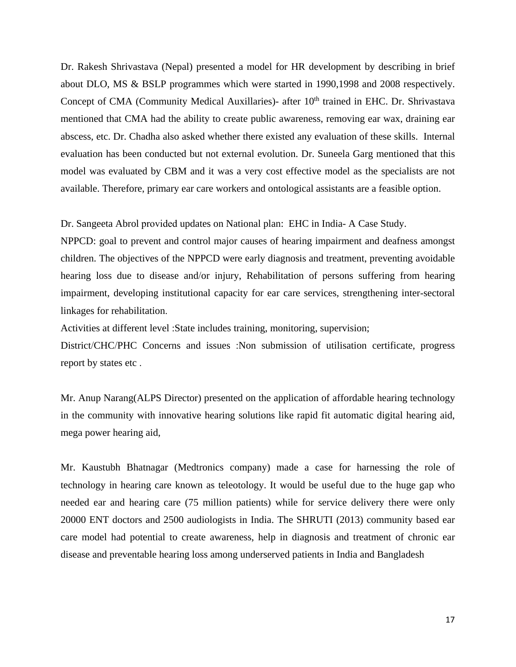Dr. Rakesh Shrivastava (Nepal) presented a model for HR development by describing in brief about DLO, MS & BSLP programmes which were started in 1990,1998 and 2008 respectively. Concept of CMA (Community Medical Auxillaries)- after 10<sup>th</sup> trained in EHC. Dr. Shrivastava mentioned that CMA had the ability to create public awareness, removing ear wax, draining ear abscess, etc. Dr. Chadha also asked whether there existed any evaluation of these skills. Internal evaluation has been conducted but not external evolution. Dr. Suneela Garg mentioned that this model was evaluated by CBM and it was a very cost effective model as the specialists are not available. Therefore, primary ear care workers and ontological assistants are a feasible option.

Dr. Sangeeta Abrol provided updates on National plan: EHC in India- A Case Study.

NPPCD: goal to prevent and control major causes of hearing impairment and deafness amongst children. The objectives of the NPPCD were early diagnosis and treatment, preventing avoidable hearing loss due to disease and/or injury, Rehabilitation of persons suffering from hearing impairment, developing institutional capacity for ear care services, strengthening inter-sectoral linkages for rehabilitation.

Activities at different level :State includes training, monitoring, supervision;

District/CHC/PHC Concerns and issues :Non submission of utilisation certificate, progress report by states etc .

Mr. Anup Narang(ALPS Director) presented on the application of affordable hearing technology in the community with innovative hearing solutions like rapid fit automatic digital hearing aid, mega power hearing aid,

Mr. Kaustubh Bhatnagar (Medtronics company) made a case for harnessing the role of technology in hearing care known as teleotology. It would be useful due to the huge gap who needed ear and hearing care (75 million patients) while for service delivery there were only 20000 ENT doctors and 2500 audiologists in India. The SHRUTI (2013) community based ear care model had potential to create awareness, help in diagnosis and treatment of chronic ear disease and preventable hearing loss among underserved patients in India and Bangladesh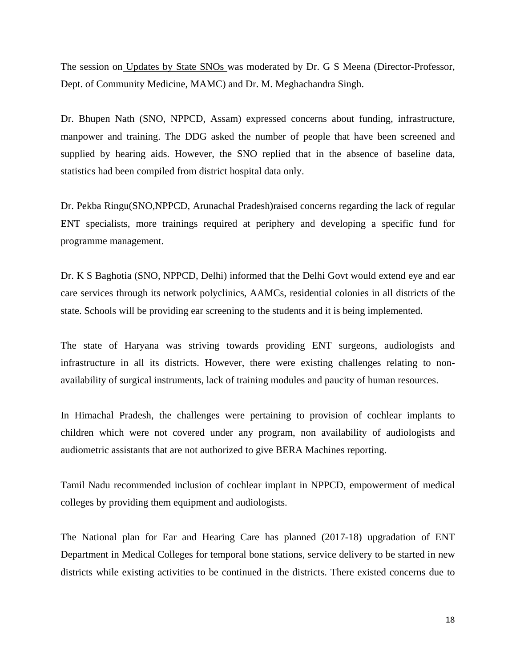The session on Updates by State SNOs was moderated by Dr. G S Meena (Director-Professor, Dept. of Community Medicine, MAMC) and Dr. M. Meghachandra Singh.

Dr. Bhupen Nath (SNO, NPPCD, Assam) expressed concerns about funding, infrastructure, manpower and training. The DDG asked the number of people that have been screened and supplied by hearing aids. However, the SNO replied that in the absence of baseline data, statistics had been compiled from district hospital data only.

Dr. Pekba Ringu(SNO,NPPCD, Arunachal Pradesh)raised concerns regarding the lack of regular ENT specialists, more trainings required at periphery and developing a specific fund for programme management.

Dr. K S Baghotia (SNO, NPPCD, Delhi) informed that the Delhi Govt would extend eye and ear care services through its network polyclinics, AAMCs, residential colonies in all districts of the state. Schools will be providing ear screening to the students and it is being implemented.

The state of Haryana was striving towards providing ENT surgeons, audiologists and infrastructure in all its districts. However, there were existing challenges relating to nonavailability of surgical instruments, lack of training modules and paucity of human resources.

In Himachal Pradesh, the challenges were pertaining to provision of cochlear implants to children which were not covered under any program, non availability of audiologists and audiometric assistants that are not authorized to give BERA Machines reporting.

Tamil Nadu recommended inclusion of cochlear implant in NPPCD, empowerment of medical colleges by providing them equipment and audiologists.

The National plan for Ear and Hearing Care has planned (2017-18) upgradation of ENT Department in Medical Colleges for temporal bone stations, service delivery to be started in new districts while existing activities to be continued in the districts. There existed concerns due to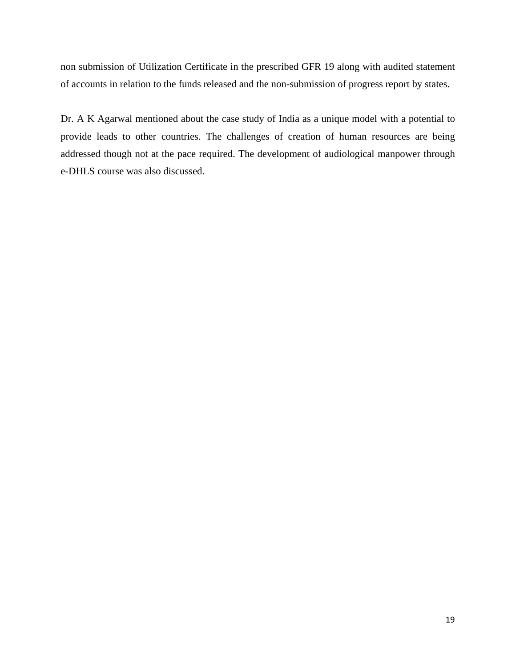non submission of Utilization Certificate in the prescribed GFR 19 along with audited statement of accounts in relation to the funds released and the non-submission of progress report by states.

Dr. A K Agarwal mentioned about the case study of India as a unique model with a potential to provide leads to other countries. The challenges of creation of human resources are being addressed though not at the pace required. The development of audiological manpower through e-DHLS course was also discussed.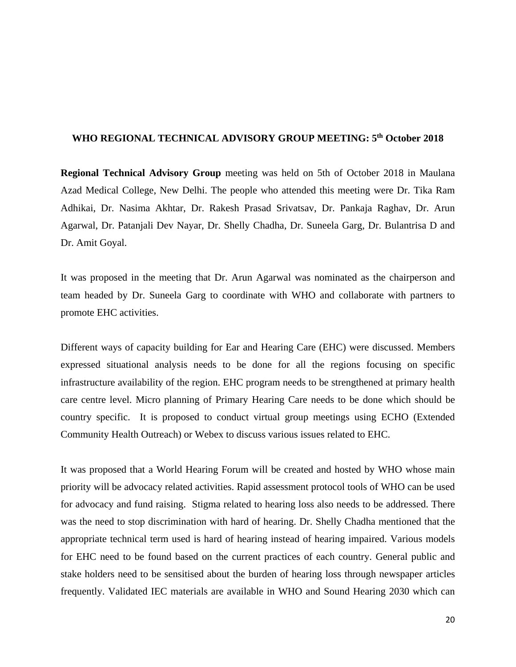## **WHO REGIONAL TECHNICAL ADVISORY GROUP MEETING: 5 th October 2018**

**Regional Technical Advisory Group** meeting was held on 5th of October 2018 in Maulana Azad Medical College, New Delhi. The people who attended this meeting were Dr. Tika Ram Adhikai, Dr. Nasima Akhtar, Dr. Rakesh Prasad Srivatsav, Dr. Pankaja Raghav, Dr. Arun Agarwal, Dr. Patanjali Dev Nayar, Dr. Shelly Chadha, Dr. Suneela Garg, Dr. Bulantrisa D and Dr. Amit Goyal.

It was proposed in the meeting that Dr. Arun Agarwal was nominated as the chairperson and team headed by Dr. Suneela Garg to coordinate with WHO and collaborate with partners to promote EHC activities.

Different ways of capacity building for Ear and Hearing Care (EHC) were discussed. Members expressed situational analysis needs to be done for all the regions focusing on specific infrastructure availability of the region. EHC program needs to be strengthened at primary health care centre level. Micro planning of Primary Hearing Care needs to be done which should be country specific. It is proposed to conduct virtual group meetings using ECHO (Extended Community Health Outreach) or Webex to discuss various issues related to EHC.

It was proposed that a World Hearing Forum will be created and hosted by WHO whose main priority will be advocacy related activities. Rapid assessment protocol tools of WHO can be used for advocacy and fund raising. Stigma related to hearing loss also needs to be addressed. There was the need to stop discrimination with hard of hearing. Dr. Shelly Chadha mentioned that the appropriate technical term used is hard of hearing instead of hearing impaired. Various models for EHC need to be found based on the current practices of each country. General public and stake holders need to be sensitised about the burden of hearing loss through newspaper articles frequently. Validated IEC materials are available in WHO and Sound Hearing 2030 which can